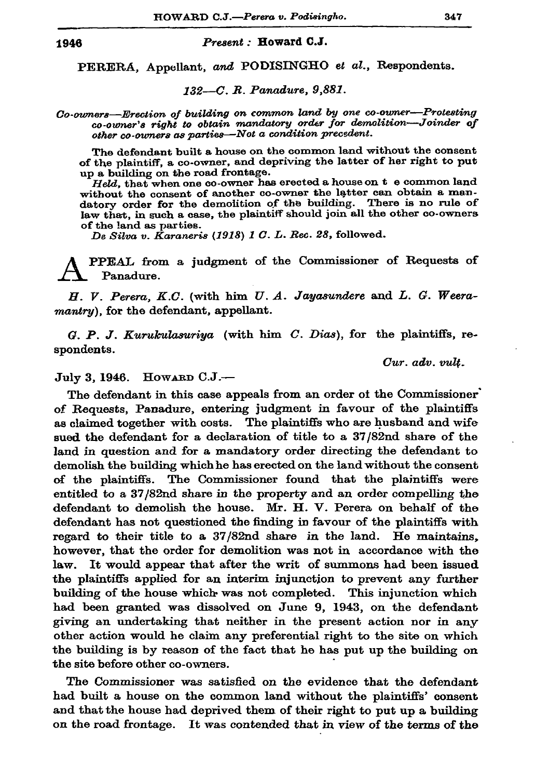## 1946

## Present: Howard C.J.

PERERA, Appellant, and PODISINGHO et al., Respondents.

132-C. R. Panadure, 9,881.

Co-owners-Erection of building on common land by one co-owner-Protesting co-owner's right to obtain mandatory order for demolition-Joinder of other co-owners as parties-Not a condition precedent.

The defendant built a house on the common land without the consent of the plaintiff, a co-owner, and depriving the latter of her right to put up a building on the road frontage.

Held, that when one co-owner has erected a house on t e common land without the consent of another co-owner the latter can obtain a mandatory order for the demolition of the building. There is no rule of law that, in such a case, the plaintiff should join all the other co-owners of the land as parties.

De Silva v. Karaneris (1918) 1 C. L. Rec. 28, followed.

PPEAL from a judgment of the Commissioner of Requests of Panadure.

H. V. Perera, K.C. (with him U. A. Jayasundere and L. G. Weeramantry), for the defendant, appellant.

 $G. P. J. Kurukulasuriya$  (with him  $C. Dias$ ), for the plaintiffs, respondents.

 $Cur.$   $adv.$   $vult.$ 

July 3, 1946. HOWARD C.J.-

The defendant in this case appeals from an order of the Commissioner of Requests, Panadure, entering judgment in favour of the plaintiffs as claimed together with costs. The plaintiffs who are husband and wife sued the defendant for a declaration of title to a 37/82nd share of the land in question and for a mandatory order directing the defendant to demolish the building which he has erected on the land without the consent of the plaintiffs. The Commissioner found that the plaintiffs were entitled to a 37/82nd share in the property and an order compelling the defendant to demolish the house. Mr. H. V. Perera on behalf of the defendant has not questioned the finding in favour of the plaintiffs with regard to their title to a 37/82nd share in the land. He maintains, however, that the order for demolition was not in accordance with the law. It would appear that after the writ of summons had been issued the plaintiffs applied for an interim injunction to prevent any further building of the house which was not completed. This injunction which had been granted was dissolved on June 9, 1943, on the defendant giving an undertaking that neither in the present action nor in any other action would he claim any preferential right to the site on which the building is by reason of the fact that he has put up the building on the site before other co-owners.

The Commissioner was satisfied on the evidence that the defendant had built a house on the common land without the plaintiffs' consent and that the house had deprived them of their right to put up a building on the road frontage. It was contended that in view of the terms of the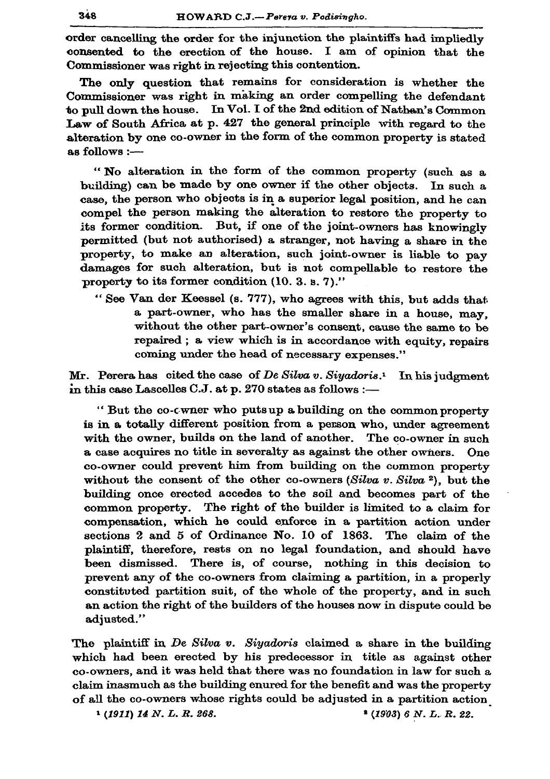order cancelling the order for the injunction the plaintiffs had impliedly consented to the erection of the house. I am of opinion that the Commissioner was right in rejecting this contention.

The only question that remains for consideration is whether the Commissioner was right in making an order compelling the defendant to pull down the house. In Vol. I of the 2nd edition of Nathen's Common Law of South Africa at p. 427 the general principle with regard to the alteration by one co-owner in the form of the common property is stated as follows :-

"No alteration in the form of the common property (such as a building) can be made by one owner if the other objects. In such a case, the person who objects is in a superior legal position, and he can compel the person making the alteration to restore the property to its former condition. But, if one of the joint-owners has knowingly permitted (but not authorised) a stranger, not having a share in the property, to make an alteration, such joint-owner is liable to pay damages for such alteration, but is not compellable to restore the property to its former condition (10, 3, s, 7)."

"See Van der Keessel (s. 777), who agrees with this, but adds that a part-owner, who has the smaller share in a house, may, without the other part-owner's consent, cause the same to be repaired; a view which is in accordance with equity, repairs coming under the head of necessary expenses."

Mr. Perera has cited the case of De Silva v. Siyadoris.<sup>1</sup> In his judgment in this case Lascelles C.J. at p. 270 states as follows :-

"But the co-cwner who putsup a building on the common property is in a totally different position from a person who, under agreement with the owner, builds on the land of another. The co-owner in such a case acquires no title in severalty as against the other owners. One co-owner could prevent him from building on the common property without the consent of the other co-owners  $(Silva v. Silva 2)$ , but the building once erected accedes to the soil and becomes part of the common property. The right of the builder is limited to a claim for compensation, which he could enforce in a partition action under sections 2 and 5 of Ordinance No. 10 of 1863. The claim of the plaintiff, therefore, rests on no legal foundation, and should have been dismissed. There is, of course, nothing in this decision to prevent any of the co-owners from claiming a partition, in a properly constituted partition suit, of the whole of the property, and in such an action the right of the builders of the houses now in dispute could be adjusted."

The plaintiff in  $De$  Silva v. Siyadoris claimed a share in the building which had been erected by his predecessor in title as against other co-owners, and it was held that there was no foundation in law for such a claim inasmuch as the building enured for the benefit and was the property of all the co-owners whose rights could be adjusted in a partition action

 $(1911)$  14 N. L. R. 268.

 $*(1903)$  6 N. L. R. 22.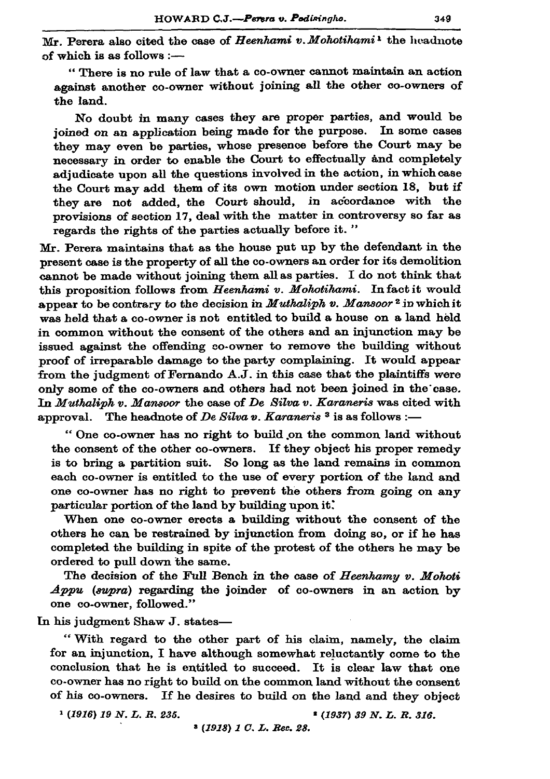Mr. Perera also cited the case of Heenhami v. Mohotihami<sup>1</sup> the headnote of which is as follows :-

"There is no rule of law that a co-owner cannot maintain an action against another co-owner without joining all the other co-owners of the land.

No doubt in many cases they are proper parties, and would be joined on an application being made for the purpose. In some cases they may even be parties, whose presence before the Court may be necessary in order to enable the Court to effectually and completely adjudicate upon all the questions involved in the action, in which case the Court may add them of its own motion under section 18. but if they are not added, the Court should, in accordance with the provisions of section 17, deal with the matter in controversy so far as regards the rights of the parties actually before it."

Mr. Perera maintains that as the house put up by the defendant in the present case is the property of all the co-owners an order for its demolition cannot be made without joining them all as parties. I do not think that this proposition follows from Heenhami v. Mohotihami. In fact it would appear to be contrary to the decision in *Muthaliph v. Mansoor*<sup>2</sup> in which it was held that a co-owner is not entitled to build a house on a land held in common without the consent of the others and an injunction may be issued against the offending co-owner to remove the building without proof of irreparable damage to the party complaining. It would appear from the judgment of Fernando A.J. in this case that the plaintiffs were only some of the co-owners and others had not been joined in the case. In Muthaliph v. Mansoor the case of De Silva v. Karaneris was cited with approval. The headnote of De Silva v. Karaneris<sup>3</sup> is as follows :-

"One co-owner has no right to build on the common land without the consent of the other co-owners. If they object his proper remedy is to bring a partition suit. So long as the land remains in common each co-owner is entitled to the use of every portion of the land and one co-owner has no right to prevent the others from going on any particular portion of the land by building upon it.

When one co-owner erects a building without the consent of the others he can be restrained by injunction from doing so, or if he has completed the building in spite of the protest of the others he may be ordered to pull down the same.

The decision of the Full Bench in the case of Heenhamy v. Mohoti Appu (supra) regarding the joinder of co-owners in an action by one co-owner, followed."

In his judgment Shaw J. states-

"With regard to the other part of his claim, namely, the claim for an injunction, I have although somewhat reluctantly come to the conclusion that he is entitled to succeed. It is clear law that one co-owner has no right to build on the common land without the consent of his co-owners. If he desires to build on the land and they object

 $(1916)$  19 N. L. R. 235.

<sup>2</sup> (1937) 39 N.L.R. 316.

<sup>3</sup> (1918) 1 C. L. Rec. 28.